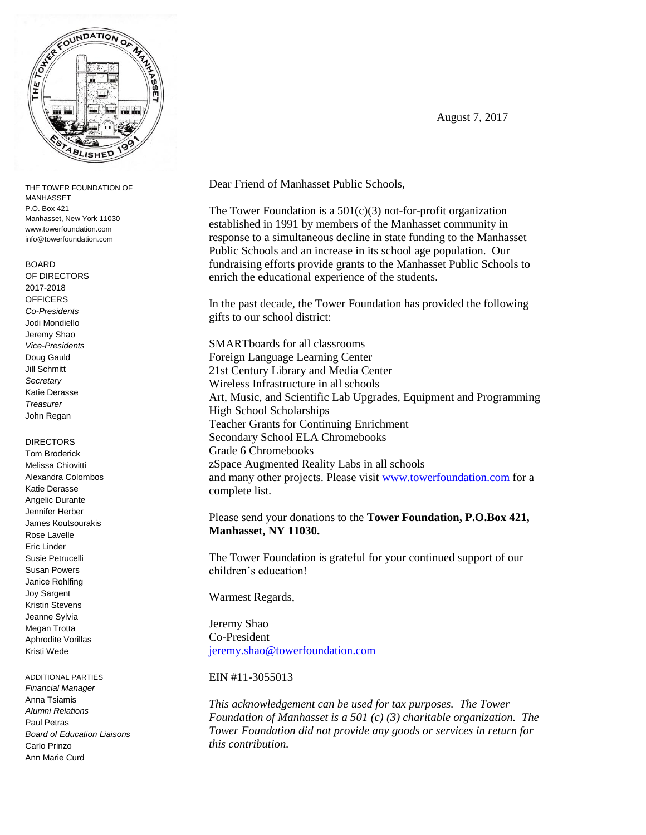

THE TOWER FOUNDATION OF MANHASSET P.O. Box 421 Manhasset, New York 11030 www.towerfoundation.com info@towerfoundation.com

#### BOARD

OF DIRECTORS 2017-2018 **OFFICERS** *Co-Presidents* Jodi Mondiello Jeremy Shao *Vice-Presidents* Doug Gauld Jill Schmitt *Secretary* Katie Derasse *Treasurer* John Regan

### DIRECTORS

Tom Broderick Melissa Chiovitti Alexandra Colombos Katie Derasse Angelic Durante Jennifer Herber James Koutsourakis Rose Lavelle Eric Linder Susie Petrucelli Susan Powers Janice Rohlfing Joy Sargent Kristin Stevens Jeanne Sylvia Megan Trotta Aphrodite Vorillas Kristi Wede

ADDITIONAL PARTIES *Financial Manager* Anna Tsiamis *Alumni Relations* Paul Petras *Board of Education Liaisons* Carlo Prinzo Ann Marie Curd

Dear Friend of Manhasset Public Schools,

The Tower Foundation is a  $501(c)(3)$  not-for-profit organization established in 1991 by members of the Manhasset community in response to a simultaneous decline in state funding to the Manhasset Public Schools and an increase in its school age population. Our fundraising efforts provide grants to the Manhasset Public Schools to enrich the educational experience of the students.

In the past decade, the Tower Foundation has provided the following gifts to our school district:

SMARTboards for all classrooms Foreign Language Learning Center 21st Century Library and Media Center Wireless Infrastructure in all schools Art, Music, and Scientific Lab Upgrades, Equipment and Programming High School Scholarships Teacher Grants for Continuing Enrichment Secondary School ELA Chromebooks Grade 6 Chromebooks zSpace Augmented Reality Labs in all schools and many other projects. Please visit [www.towerfoundation.com](http://www.towerfoundation.com/) for a complete list.

Please send your donations to the **Tower Foundation, P.O.Box 421, Manhasset, NY 11030.**

The Tower Foundation is grateful for your continued support of our children's education!

Warmest Regards,

Jeremy Shao Co-President [jeremy.shao@towerfoundation.com](mailto:jeremy.shao@towerfoundation.com)

## EIN #11-3055013

*This acknowledgement can be used for tax purposes. The Tower Foundation of Manhasset is a 501 (c) (3) charitable organization. The Tower Foundation did not provide any goods or services in return for this contribution.*

August 7, 2017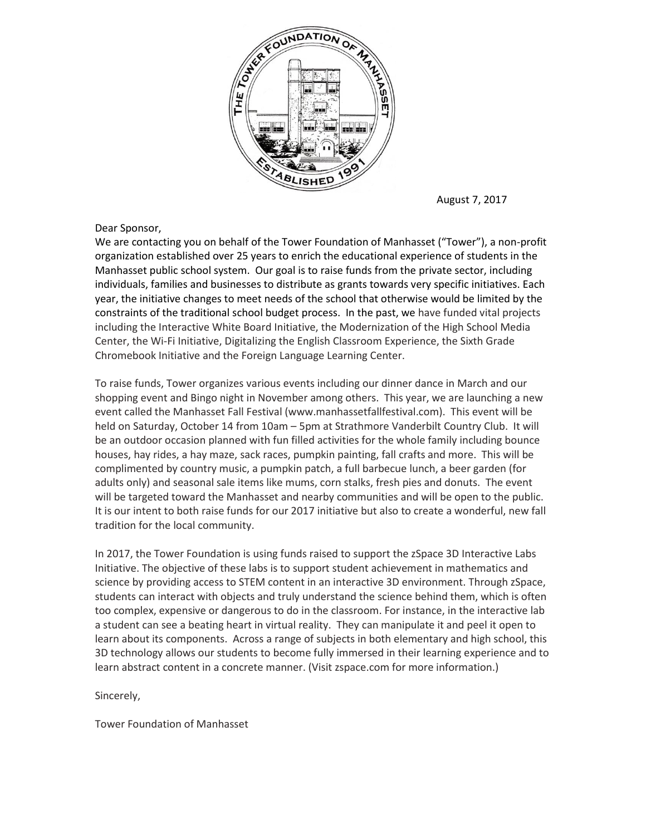

August 7, 2017

## Dear Sponsor,

We are contacting you on behalf of the Tower Foundation of Manhasset ("Tower"), a non-profit organization established over 25 years to enrich the educational experience of students in the Manhasset public school system. Our goal is to raise funds from the private sector, including individuals, families and businesses to distribute as grants towards very specific initiatives. Each year, the initiative changes to meet needs of the school that otherwise would be limited by the constraints of the traditional school budget process. In the past, we have funded vital projects including the Interactive White Board Initiative, the Modernization of the High School Media Center, the Wi-Fi Initiative, Digitalizing the English Classroom Experience, the Sixth Grade Chromebook Initiative and the Foreign Language Learning Center.

To raise funds, Tower organizes various events including our dinner dance in March and our shopping event and Bingo night in November among others. This year, we are launching a new event called the Manhasset Fall Festival (www.manhassetfallfestival.com). This event will be held on Saturday, October 14 from 10am – 5pm at Strathmore Vanderbilt Country Club. It will be an outdoor occasion planned with fun filled activities for the whole family including bounce houses, hay rides, a hay maze, sack races, pumpkin painting, fall crafts and more. This will be complimented by country music, a pumpkin patch, a full barbecue lunch, a beer garden (for adults only) and seasonal sale items like mums, corn stalks, fresh pies and donuts. The event will be targeted toward the Manhasset and nearby communities and will be open to the public. It is our intent to both raise funds for our 2017 initiative but also to create a wonderful, new fall tradition for the local community.

In 2017, the Tower Foundation is using funds raised to support the zSpace 3D Interactive Labs Initiative. The objective of these labs is to support student achievement in mathematics and science by providing access to STEM content in an interactive 3D environment. Through zSpace, students can interact with objects and truly understand the science behind them, which is often too complex, expensive or dangerous to do in the classroom. For instance, in the interactive lab a student can see a beating heart in virtual reality. They can manipulate it and peel it open to learn about its components. Across a range of subjects in both elementary and high school, this 3D technology allows our students to become fully immersed in their learning experience and to learn abstract content in a concrete manner. (Visit zspace.com for more information.)

Sincerely,

Tower Foundation of Manhasset